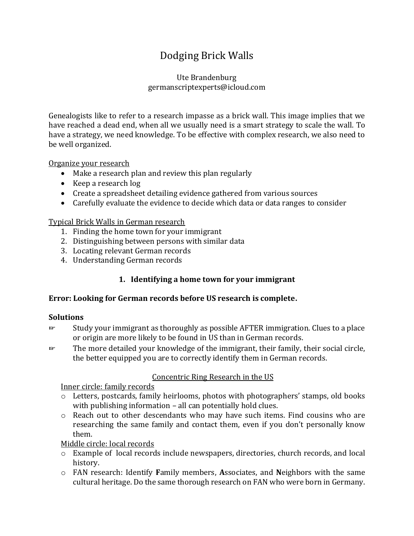# Dodging Brick Walls

#### Ute Brandenburg germanscriptexperts@icloud.com

Genealogists like to refer to a research impasse as a brick wall. This image implies that we have reached a dead end, when all we usually need is a smart strategy to scale the wall. To have a strategy, we need knowledge. To be effective with complex research, we also need to be well organized.

Organize your research

- Make a research plan and review this plan regularly
- Keep a research log
- Create a spreadsheet detailing evidence gathered from various sources
- Carefully evaluate the evidence to decide which data or data ranges to consider

Typical Brick Walls in German research

- 1. Finding the home town for your immigrant
- 2. Distinguishing between persons with similar data
- 3. Locating relevant German records
- 4. Understanding German records

## **1. Identifying a home town for your immigrant**

#### **Error: Looking for German records before US research is complete.**

#### **Solutions**

- ☞ Study your immigrant as thoroughly as possible AFTER immigration. Clues to a place or origin are more likely to be found in US than in German records.
- ☞ The more detailed your knowledge of the immigrant, their family, their social circle, the better equipped you are to correctly identify them in German records.

## Concentric Ring Research in the US

Inner circle: family records

- o Letters, postcards, family heirlooms, photos with photographers' stamps, old books with publishing information – all can potentially hold clues.
- o Reach out to other descendants who may have such items. Find cousins who are researching the same family and contact them, even if you don't personally know them.

Middle circle: local records

- o Example of local records include newspapers, directories, church records, and local history.
- o FAN research: Identify **F**amily members, **A**ssociates, and **N**eighbors with the same cultural heritage. Do the same thorough research on FAN who were born in Germany.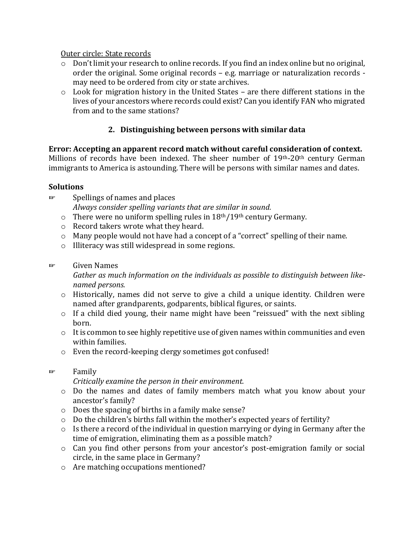#### Outer circle: State records

- o Don't limit your research to online records. If you find an index online but no original, order the original. Some original records – e.g. marriage or naturalization records may need to be ordered from city or state archives.
- o Look for migration history in the United States are there different stations in the lives of your ancestors where records could exist? Can you identify FAN who migrated from and to the same stations?

# **2. Distinguishing between persons with similar data**

#### **Error: Accepting an apparent record match without careful consideration of context.** Millions of records have been indexed. The sheer number of 19th-20th century German immigrants to America is astounding. There will be persons with similar names and dates.

## **Solutions**

- ☞ Spellings of names and places *Always consider spelling variants that are similar in sound.* 
	- $\circ$  There were no uniform spelling rules in 18<sup>th</sup>/19<sup>th</sup> century Germany.
	- o Record takers wrote what they heard.
	- o Many people would not have had a concept of a "correct" spelling of their name.
	- o Illiteracy was still widespread in some regions.

#### ☞ Given Names

*Gather as much information on the individuals as possible to distinguish between likenamed persons.*

- o Historically, names did not serve to give a child a unique identity. Children were named after grandparents, godparents, biblical figures, or saints.
- o If a child died young, their name might have been "reissued" with the next sibling born.
- $\circ$  It is common to see highly repetitive use of given names within communities and even within families.
- o Even the record-keeping clergy sometimes got confused!
- ☞ Family

*Critically examine the person in their environment.* 

- o Do the names and dates of family members match what you know about your ancestor's family?
- o Does the spacing of births in a family make sense?
- o Do the children's births fall within the mother's expected years of fertility?
- $\circ$  Is there a record of the individual in question marrying or dying in Germany after the time of emigration, eliminating them as a possible match?
- o Can you find other persons from your ancestor's post-emigration family or social circle, in the same place in Germany?
- o Are matching occupations mentioned?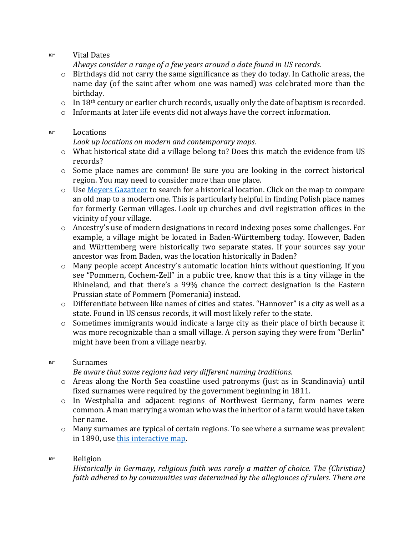☞ Vital Dates

*Always consider a range of a few years around a date found in US records.* 

- o Birthdays did not carry the same significance as they do today. In Catholic areas, the name day (of the saint after whom one was named) was celebrated more than the birthday.
- $\circ$  In 18<sup>th</sup> century or earlier church records, usually only the date of baptism is recorded.
- o Informants at later life events did not always have the correct information.

#### ☞ Locations

*Look up locations on modern and contemporary maps.*

- o What historical state did a village belong to? Does this match the evidence from US records?
- o Some place names are common! Be sure you are looking in the correct historical region. You may need to consider more than one place.
- o Use [Meyers Gazatteer](https://www.meyersgaz.org/) to search for a historical location. Click on the map to compare an old map to a modern one. This is particularly helpful in finding Polish place names for formerly German villages. Look up churches and civil registration offices in the vicinity of your village.
- o Ancestry's use of modern designations in record indexing poses some challenges. For example, a village might be located in Baden-Württemberg today. However, Baden and Württemberg were historically two separate states. If your sources say your ancestor was from Baden, was the location historically in Baden?
- $\circ$  Many people accept Ancestry's automatic location hints without questioning. If you see "Pommern, Cochem-Zell" in a public tree, know that this is a tiny village in the Rhineland, and that there's a 99% chance the correct designation is the Eastern Prussian state of Pommern (Pomerania) instead.
- o Differentiate between like names of cities and states. "Hannover" is a city as well as a state. Found in US census records, it will most likely refer to the state.
- o Sometimes immigrants would indicate a large city as their place of birth because it was more recognizable than a small village. A person saying they were from "Berlin" might have been from a village nearby.

#### ☞ Surnames

*Be aware that some regions had very different naming traditions.* 

- o Areas along the North Sea coastline used patronyms (just as in Scandinavia) until fixed surnames were required by the government beginning in 1811.
- o In Westphalia and adjacent regions of Northwest Germany, farm names were common. A man marrying a woman who was the inheritor of a farm would have taken her name.
- $\circ$  Many surnames are typical of certain regions. To see where a surname was prevalent in 1890, use [this interactive map.](https://nvk.genealogy.net/map)

## ☞ Religion

*Historically in Germany, religious faith was rarely a matter of choice. The (Christian) faith adhered to by communities was determined by the allegiances of rulers. There are*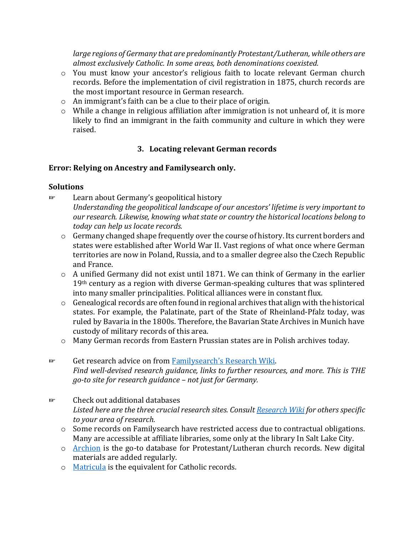*large regions of Germany that are predominantly Protestant/Lutheran, while others are almost exclusively Catholic. In some areas, both denominations coexisted.*

- o You must know your ancestor's religious faith to locate relevant German church records. Before the implementation of civil registration in 1875, church records are the most important resource in German research.
- o An immigrant's faith can be a clue to their place of origin.
- o While a change in religious affiliation after immigration is not unheard of, it is more likely to find an immigrant in the faith community and culture in which they were raised.

## **3. Locating relevant German records**

#### **Error: Relying on Ancestry and Familysearch only.**

#### **Solutions**

- ☞ Learn about Germany's geopolitical history *Understanding the geopolitical landscape of our ancestors' lifetime is very important to our research. Likewise, knowing what state or country the historical locations belong to today can help us locate records.* 
	- o Germany changed shape frequently over the course of history. Its current borders and states were established after World War II. Vast regions of what once where German territories are now in Poland, Russia, and to a smaller degree also the Czech Republic and France.
	- o A unified Germany did not exist until 1871. We can think of Germany in the earlier 19<sup>th</sup> century as a region with diverse German-speaking cultures that was splintered into many smaller principalities. Political alliances were in constant flux.
	- o Genealogical records are often found in regional archives that align with the historical states. For example, the Palatinate, part of the State of Rheinland-Pfalz today, was ruled by Bavaria in the 1800s. Therefore, the Bavarian State Archives in Munich have custody of military records of this area.
	- o Many German records from Eastern Prussian states are in Polish archives today.
- ☞ Get research advice on from [Familysearch's](https://www.familysearch.org/wiki/en/Main_Page) Research Wiki. *Find well-devised research guidance, links to further resources, and more. This is THE go-to site for research guidance – not just for Germany.*
- ☞ Check out additional databases *Listed here are the three crucial research sites. Consul[t Research Wiki](https://www.familysearch.org/wiki/en/Main_Page) for others specific to your area of research.*
	- o Some records on Familysearch have restricted access due to contractual obligations. Many are accessible at affiliate libraries, some only at the library In Salt Lake City.
	- o [Archion](https://www.archion.de/) is the go-to database for Protestant/Lutheran church records. New digital materials are added regularly.
	- o [Matricula](https://www.icar-us.eu/cooperation/online-portals/matricula/) is the equivalent for Catholic records.